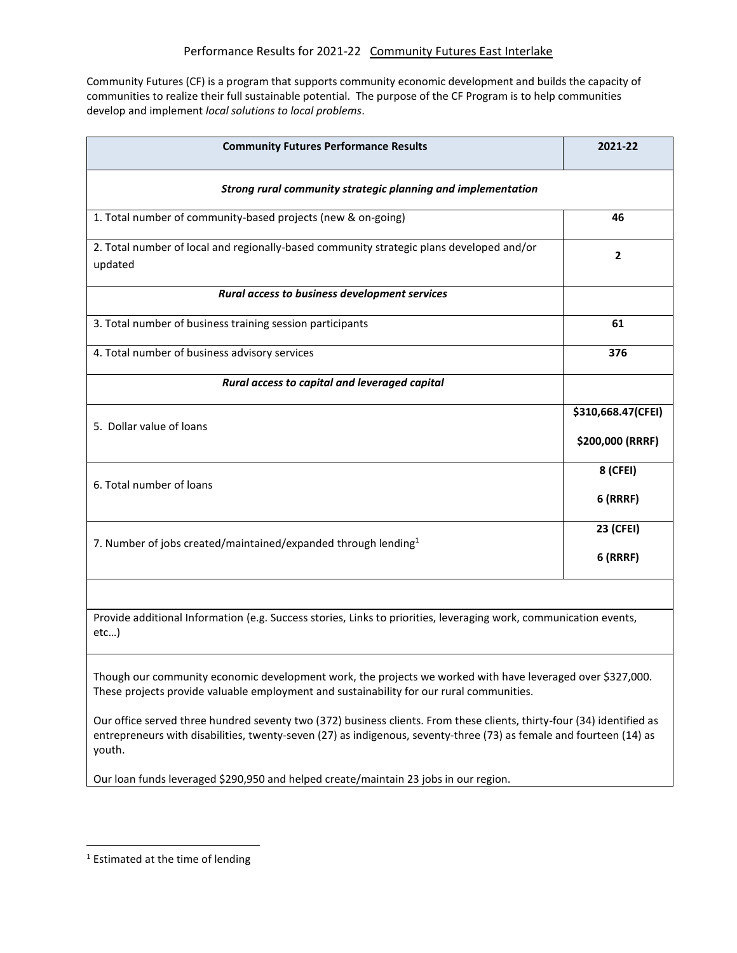Community Futures (CF) is a program that supports community economic development and builds the capacity of communities to realize their full sustainable potential. The purpose of the CF Program is to help communities develop and implement *local solutions to local problems*.

| <b>Community Futures Performance Results</b>                                                                                                                                                                                                            | 2021-22            |
|---------------------------------------------------------------------------------------------------------------------------------------------------------------------------------------------------------------------------------------------------------|--------------------|
| Strong rural community strategic planning and implementation                                                                                                                                                                                            |                    |
| 1. Total number of community-based projects (new & on-going)                                                                                                                                                                                            | 46                 |
| 2. Total number of local and regionally-based community strategic plans developed and/or<br>updated                                                                                                                                                     | $\mathbf{2}$       |
| Rural access to business development services                                                                                                                                                                                                           |                    |
| 3. Total number of business training session participants                                                                                                                                                                                               | 61                 |
| 4. Total number of business advisory services                                                                                                                                                                                                           | 376                |
| Rural access to capital and leveraged capital                                                                                                                                                                                                           |                    |
| 5. Dollar value of loans                                                                                                                                                                                                                                | \$310,668.47(CFEI) |
|                                                                                                                                                                                                                                                         | \$200,000 (RRRF)   |
| 6. Total number of loans                                                                                                                                                                                                                                | 8 (CFEI)           |
|                                                                                                                                                                                                                                                         | $6$ (RRRF)         |
| 7. Number of jobs created/maintained/expanded through lending <sup>1</sup>                                                                                                                                                                              | 23 (CFEI)          |
|                                                                                                                                                                                                                                                         | <b>6 (RRRF)</b>    |
|                                                                                                                                                                                                                                                         |                    |
| Provide additional Information (e.g. Success stories, Links to priorities, leveraging work, communication events,<br>etc                                                                                                                                |                    |
| Though our community economic development work, the projects we worked with have leveraged over \$327,000.<br>These projects provide valuable employment and sustainability for our rural communities.                                                  |                    |
| Our office served three hundred seventy two (372) business clients. From these clients, thirty-four (34) identified as<br>entrepreneurs with disabilities, twenty-seven (27) as indigenous, seventy-three (73) as female and fourteen (14) as<br>youth. |                    |

Our loan funds leveraged \$290,950 and helped create/maintain 23 jobs in our region.

 $\overline{\phantom{a}}$ 

<sup>1</sup> Estimated at the time of lending